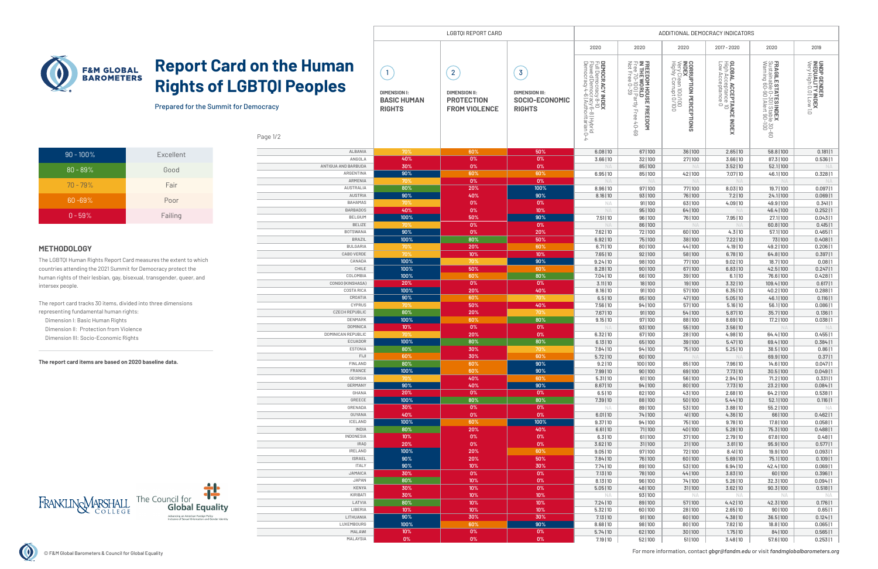

# **Report Card on the Rights of LGBTQI Pe**

Prepared for the Summit for Democracy

For more information, contact *gbgr@fandm.edu* or visit *fandmglobalbarometers.org*

O

### Page 1/2

|                                   |                                                                              | ADDITIONAL DEMOCRACY INDICATORS                                                     |                                                                            |                                                                                                                      |                                                                                                        |                                                                                       |                                                                   |                                                                                                  |                                                            |
|-----------------------------------|------------------------------------------------------------------------------|-------------------------------------------------------------------------------------|----------------------------------------------------------------------------|----------------------------------------------------------------------------------------------------------------------|--------------------------------------------------------------------------------------------------------|---------------------------------------------------------------------------------------|-------------------------------------------------------------------|--------------------------------------------------------------------------------------------------|------------------------------------------------------------|
|                                   |                                                                              |                                                                                     |                                                                            | 2020                                                                                                                 | 2020                                                                                                   | 2020                                                                                  | 2017 - 2020                                                       | 2020                                                                                             | 2019                                                       |
| <b>Human</b><br><b>eoples</b>     | $\overline{1}$<br><b>DIMENSION I:</b><br><b>BASIC HUMAN</b><br><b>RIGHTS</b> | $\overline{2}$<br><b>DIMENSION II:</b><br><b>PROTECTION</b><br><b>FROM VIOLENCE</b> | $\overline{3}$<br><b>DIMENSION III:</b><br>SOCIO-ECONOMIC<br><b>RIGHTS</b> | <b>DEMOCRACY INDEX<br/>Full Democracy 8-10<br/>Flul Democracy 8-8   Hybrid<br/>Democracy 4-6   Authoritarian 0-4</b> | FREEDOM HOUSE FREEDOM<br>IN THE WORLD<br>Free 70-100   Partly Free 40-6<br>Not Free 0-39<br>Free 40-69 | <b>CORRUPTION PERCEPTIONS<br/>INDEX</b><br>Very Clean 100/100<br>Highly Corrupt 0/100 | GLOBAL ACCEPTANCE INDEX<br>High Acceptance 10<br>Low Acceptance 0 | <b>FRAGILE STATES INDEX<br/>Sustainable 0-30   Stable 30-60<br/>Warning 60-90   Alert 90-100</b> | UNDP GENDER<br>INEQUALITY INDEX<br>Very High 0.0   Low 1.0 |
| <b>ALBANIA</b>                    | 70%                                                                          | 60%                                                                                 | 50%                                                                        | 6.08 10                                                                                                              | 67   100                                                                                               | 36   100                                                                              | 2.65 10                                                           | 58.8   100                                                                                       | 0.181 1                                                    |
| ANGOLA                            | 40%                                                                          | 0%                                                                                  | 0%                                                                         | 3.66   10                                                                                                            | 32   100                                                                                               | 27   100                                                                              | 3.66   10                                                         | 87.3   100                                                                                       | 0.536 1                                                    |
| ANTIGUA AND BARBUDA               | 30%                                                                          | 0%                                                                                  | 0%                                                                         | <b>NA</b>                                                                                                            | 85   100                                                                                               | <b>NA</b>                                                                             | 3.52 10                                                           | 52.1 100                                                                                         | <b>NA</b>                                                  |
| ARGENTINA                         | 90%                                                                          | 60%                                                                                 | 60%                                                                        | 6.95 10                                                                                                              | 85   100                                                                                               | 42   100                                                                              | 7.07   10                                                         | 46.1   100                                                                                       | 0.328 1                                                    |
| ARMENIA                           | 70%                                                                          | 0%                                                                                  | 0%                                                                         | <b>NA</b>                                                                                                            | <b>NA</b>                                                                                              | <b>NA</b>                                                                             | <b>NA</b>                                                         | <b>NA</b>                                                                                        | <b>NA</b>                                                  |
| <b>AUSTRALIA</b>                  | 80%                                                                          | 20%                                                                                 | 100%                                                                       | 8.96 10                                                                                                              | 97   100                                                                                               | 77   100                                                                              | 8.03 10                                                           | 19.7   100                                                                                       | 0.097 1                                                    |
| <b>AUSTRIA</b>                    | 90%                                                                          | 40%                                                                                 | 90%                                                                        | 8.16 10                                                                                                              | 93   100                                                                                               | 76   100                                                                              | 7.2 10                                                            | 24.1 100                                                                                         | $0.069$  1                                                 |
| <b>BAHAMAS</b><br><b>BARBADOS</b> | 70%<br>40%                                                                   | 0%<br>0%                                                                            | 0%<br>10%                                                                  | <b>NA</b>                                                                                                            | 91 100                                                                                                 | 63   100                                                                              | 4.09 10                                                           | 49.9   100                                                                                       | 0.341 1                                                    |
| <b>BELGIUM</b>                    | 100%                                                                         | 50%                                                                                 | 90%                                                                        | <b>NA</b>                                                                                                            | 95   100                                                                                               | 64   100                                                                              | <b>NA</b>                                                         | 46.4 100                                                                                         | 0.252 1                                                    |
| <b>BELIZE</b>                     | 70%                                                                          | 0%                                                                                  | 0%                                                                         | 7.51   10<br><b>NA</b>                                                                                               | 96   100<br>86   100                                                                                   | 76   100<br><b>NA</b>                                                                 | 7.95   10<br><b>NA</b>                                            | 27.1   100<br>60.8   100                                                                         | 0.043 1<br>0.415 1                                         |
| <b>BOTSWANA</b>                   | 90%                                                                          | 0%                                                                                  | 20%                                                                        | 7.62 10                                                                                                              | 72   100                                                                                               | 60   100                                                                              | 4.3 10                                                            | 57.1   100                                                                                       | 0.465 1                                                    |
| <b>BRAZIL</b>                     | 100%                                                                         | 80%                                                                                 | 50%                                                                        | 6.92 10                                                                                                              | 75   100                                                                                               | 38   100                                                                              | 7.22 10                                                           | 73   100                                                                                         | 0.408 1                                                    |
| <b>BULGARIA</b>                   | 70%                                                                          | 20%                                                                                 | 60%                                                                        | 6.71 10                                                                                                              | 80   100                                                                                               | 44 100                                                                                | $4.19$   10                                                       | 49.2   100                                                                                       | 0.206 1                                                    |
| CABO VERDE                        | 70%                                                                          | 10%                                                                                 | 10%                                                                        | 7.65 10                                                                                                              | 92   100                                                                                               | 58   100                                                                              | 6.78 10                                                           | 64.8   100                                                                                       | 0.397 1                                                    |
| CANADA                            | 100%                                                                         | 70%                                                                                 | 90%                                                                        | 9.24 10                                                                                                              | 98   100                                                                                               | 77   100                                                                              | 9.02 10                                                           | 18.7   100                                                                                       | 0.08 1                                                     |
| CHILE                             | 100%                                                                         | 50%                                                                                 | 60%                                                                        | 8.28   10                                                                                                            | 90   100                                                                                               | 67   100                                                                              | 6.83 10                                                           | 42.5 100                                                                                         | 0.247 1                                                    |
| COLOMBIA                          | 100%                                                                         | 60%                                                                                 | 80%                                                                        | 7.04 10                                                                                                              | 66   100                                                                                               | 39   100                                                                              | 6.1 10                                                            | 76.6   100                                                                                       | $0.428$  1                                                 |
| CONGO (KINSHASA)                  | 20%                                                                          | 0%                                                                                  | 0%                                                                         | 3.11 10                                                                                                              | 18   100                                                                                               | 19   100                                                                              | 3.32   10                                                         | 109.4   100                                                                                      | 0.617 1                                                    |
| <b>COSTA RICA</b>                 | 100%                                                                         | 20%                                                                                 | 40%                                                                        | 8.16 10                                                                                                              | 91   100                                                                                               | 57   100                                                                              | 6.35 10                                                           | $40.2$   100                                                                                     | 0.288 1                                                    |
| CROATIA                           | 90%                                                                          | 60%                                                                                 | 70%                                                                        | 6.5 10                                                                                                               | 85   100                                                                                               | 47   100                                                                              | 5.05 10                                                           | 46.1   100                                                                                       | 0.116 1                                                    |
| <b>CYPRUS</b>                     | 70%                                                                          | 50%                                                                                 | 40%                                                                        | 7.56   10                                                                                                            | 94 100                                                                                                 | 57   100                                                                              | 5.16 10                                                           | 56.1   100                                                                                       | 0.086 1                                                    |
| <b>CZECH REPUBLIC</b>             | 80%                                                                          | 20%                                                                                 | 70%<br>80%                                                                 | 7.67   10                                                                                                            | 91 100                                                                                                 | 54   100                                                                              | 5.87 10                                                           | 35.7   100                                                                                       | 0.136 1                                                    |
| DENMARK<br><b>DOMINICA</b>        | 100%<br>10%                                                                  | 60%<br>0%                                                                           | 0%                                                                         | 9.15 10<br><b>NA</b>                                                                                                 | 97   100<br>93   100                                                                                   | 88   100<br>55   100                                                                  | 8.69 10<br>3.56 10                                                | 17.2   100<br><b>NA</b>                                                                          | 0.038 1<br><b>NA</b>                                       |
| DOMINICAN REPUBLIC                | 70%                                                                          | 20%                                                                                 | 0%                                                                         | 6.32 10                                                                                                              | 67   100                                                                                               | 28   100                                                                              | 4.98   10                                                         | 64.4   100                                                                                       | 0.455 1                                                    |
| ECUADOR                           | 100%                                                                         | 80%                                                                                 | 80%                                                                        | 6.13 10                                                                                                              | 65   100                                                                                               | 39   100                                                                              | 5.47 10                                                           | 69.4   100                                                                                       | 0.384 1                                                    |
| <b>ESTONIA</b>                    | 80%                                                                          | 30%                                                                                 | 70%                                                                        | 7.84 10                                                                                                              | 94   100                                                                                               | 75   100                                                                              | 5.25 10                                                           | 38.5   100                                                                                       | 0.86 1                                                     |
| FIJI                              | 60%                                                                          | 30%                                                                                 | 60%                                                                        | $5.72$  10                                                                                                           | 60   100                                                                                               | NA                                                                                    | NA                                                                | 69.9   100                                                                                       | 0.37 1                                                     |
| <b>FINLAND</b>                    | 80%                                                                          | 60%                                                                                 | 90%                                                                        | 9.2 10                                                                                                               | 100   100                                                                                              | 85   100                                                                              | 7.96 10                                                           | 14.6   100                                                                                       | $0.047$  1                                                 |
| FRANCE                            | 100%                                                                         | 60%                                                                                 | 90%                                                                        | 7.99 10                                                                                                              | 90 100                                                                                                 | 69   100                                                                              | 7.73 10                                                           | 30.5   100                                                                                       | $0.049$  1                                                 |
| GEORGIA                           | 70%                                                                          | 40%                                                                                 | 60%                                                                        | 5.31 10                                                                                                              | 61   100                                                                                               | 56   100                                                                              | 2.94 10                                                           | 71.2   100                                                                                       | 0.331 1                                                    |
| GERMANY                           | 90%                                                                          | 40%                                                                                 | 90%                                                                        | 8.67   10                                                                                                            | 94 100                                                                                                 | 80   100                                                                              | 7.73 10                                                           | 23.2   100                                                                                       | 0.084 1                                                    |
| GHANA                             | 20%                                                                          | $0\%$                                                                               | 0%                                                                         | 6.5 10                                                                                                               | 82   100                                                                                               | 43   100                                                                              | 2.68 10                                                           | 64.2   100                                                                                       | 0.538 1                                                    |
| GREECE                            | 100%                                                                         | 80%                                                                                 | 80%                                                                        | 7.39   10                                                                                                            | 88   100                                                                                               | 50   100                                                                              | 5.44 10                                                           | 52.1 100                                                                                         | 0.116 1                                                    |
| GRENADA<br>GUYANA                 | 30%<br>40%                                                                   | $0\%$<br>$0\%$                                                                      | $0\%$<br>0%                                                                | <b>NA</b><br>6.01 10                                                                                                 | 89   100<br>74   100                                                                                   | 53   100<br>41   100                                                                  | 3.88 10<br>4.36 10                                                | 55.2   100<br>66   100                                                                           | <b>NA</b><br>0.462 1                                       |
| ICELAND                           | 100%                                                                         | 60%                                                                                 | 100%                                                                       | 9.37 10                                                                                                              | 94 100                                                                                                 | 75   100                                                                              | 9.78 10                                                           | 17.8   100                                                                                       | 0.058 1                                                    |
| INDIA                             | 80%                                                                          | 20%                                                                                 | 40%                                                                        | 6.61 10                                                                                                              | 71 100                                                                                                 | 40   100                                                                              | 5.28 10                                                           | 75.3   100                                                                                       | 0.488 1                                                    |
| INDONESIA                         | 10%                                                                          | $0\%$                                                                               | $0\%$                                                                      | 6.3 10                                                                                                               | 61   100                                                                                               | 37   100                                                                              | $2.79$  10                                                        | 67.8   100                                                                                       | 0.48 1                                                     |
| <b>IRAQ</b>                       | 20%                                                                          | $0\%$                                                                               | $0\%$                                                                      | 3.62 10                                                                                                              | 31 100                                                                                                 | 21 100                                                                                | 3.81   10                                                         | 95.9   100                                                                                       | 0.577 1                                                    |
| <b>IRELAND</b>                    | 100%                                                                         | 20%                                                                                 | 60%                                                                        | 9.05 10                                                                                                              | 97   100                                                                                               | 72   100                                                                              | 8.41 10                                                           | 19.9   100                                                                                       | 0.093 1                                                    |
| <b>ISRAEL</b>                     | 90%                                                                          | 20%                                                                                 | 50%                                                                        | 7.84 10                                                                                                              | 76   100                                                                                               | 60   100                                                                              | 5.69 10                                                           | 75.1   100                                                                                       | $0.109$  1                                                 |
| <b>ITALY</b>                      | 90%                                                                          | $10\%$                                                                              | 30%                                                                        | 7.74 10                                                                                                              | 89   100                                                                                               | 53   100                                                                              | 6.94 10                                                           | 42.4 100                                                                                         | $0.069$  1                                                 |
| JAMAICA                           | 30%                                                                          | $0\%$                                                                               | $0\%$                                                                      | 7.13 10                                                                                                              | 78   100                                                                                               | 44 100                                                                                | 3.83 10                                                           | 60   100                                                                                         | 0.396 1                                                    |
| JAPAN                             | 80%                                                                          | $10\%$                                                                              | $0\%$                                                                      | 8.13 10                                                                                                              | 96   100                                                                                               | 74   100                                                                              | 5.26 10                                                           | 32.3   100                                                                                       | 0.094 1                                                    |
| KENYA                             | 30%                                                                          | 10%                                                                                 | $0\%$                                                                      | 5.05 10                                                                                                              | 48   100                                                                                               | 31 100                                                                                | $3.62$  10                                                        | 90.3   100                                                                                       | $0.518$  1                                                 |
| KIRIBATI                          | 30%                                                                          | $10\%$                                                                              | 10%                                                                        | <b>NA</b>                                                                                                            | 93   100                                                                                               | NД                                                                                    | NА                                                                | <b>NA</b>                                                                                        | <b>NA</b>                                                  |
| LATVIA                            | 80%                                                                          | $10\%$                                                                              | 10%                                                                        | 7.24 10                                                                                                              | 89   100                                                                                               | 57   100                                                                              | $4.42$  10                                                        | 42.3   100                                                                                       | 0.176 1                                                    |
| LIBERIA<br>LITHUANIA              | 10%<br>90%                                                                   | $10\%$<br>30%                                                                       | $10\%$<br>30%                                                              | 5.32 10<br>7.13 10                                                                                                   | 60   100<br>91 100                                                                                     | 28   100<br>60   100                                                                  | 2.65 10<br>4.38 10                                                | 90 100<br>36.5   100                                                                             | 0.65 1<br>$0.124$  1                                       |
| LUXEMBOURG                        | 100%                                                                         | 60%                                                                                 | 90%                                                                        | 8.68   10                                                                                                            | 98   100                                                                                               | 80   100                                                                              | 7.82 10                                                           | 18.8   100                                                                                       | 0.065 1                                                    |
| MALAWI                            | 10%                                                                          | 0%                                                                                  | $0\%$                                                                      | 5.74 10                                                                                                              | 62   100                                                                                               | 30   100                                                                              | 1.75 10                                                           | 84   100                                                                                         | 0.565 1                                                    |
| MALAYSIA                          | $0\%$                                                                        | $0\%$                                                                               | $0\%$                                                                      | $7.19$  10                                                                                                           | 52   100                                                                                               | 51   100                                                                              | 3.48 10                                                           | 57.6   100                                                                                       | 0.253 1                                                    |
|                                   |                                                                              |                                                                                     |                                                                            |                                                                                                                      |                                                                                                        |                                                                                       |                                                                   |                                                                                                  |                                                            |

The LGBTQI Human Rights Report Card measures the extent to which countries attending the 2021 Summit for Democracy protect the human rights of their lesbian, gay, bisexual, transgender, queer, and intersex people.

The report card tracks 30 items, divided into three dimensions representing fundamental human rights: Dimension I: Basic Human Rights

Dimension II: Protection from Violence Dimension III: Socio-Economic Rights

#### **The report card items are based on 2020 baseline data.**



## **METHODOLOGY**

| $90 - 100\%$ | Excellent |  |  |  |  |
|--------------|-----------|--|--|--|--|
| $80 - 89%$   | Good      |  |  |  |  |
| $70 - 79%$   | Fair      |  |  |  |  |
| $60 - 69%$   | Poor      |  |  |  |  |
| $0 - 59%$    | Failing   |  |  |  |  |